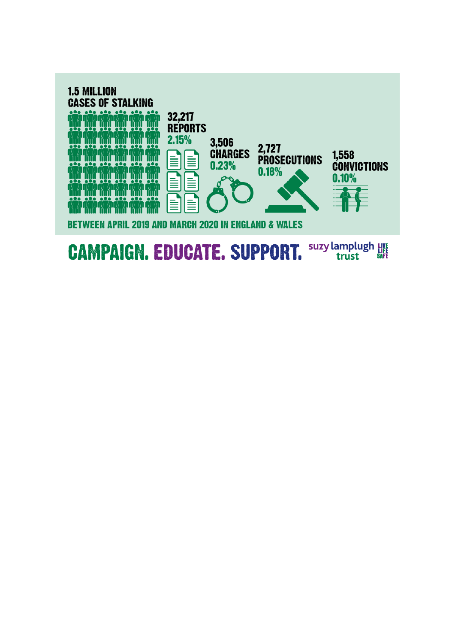

#### suzy lamplugh LIVE **CAMPAIGN. EDUCATE. SUPPORT.** trust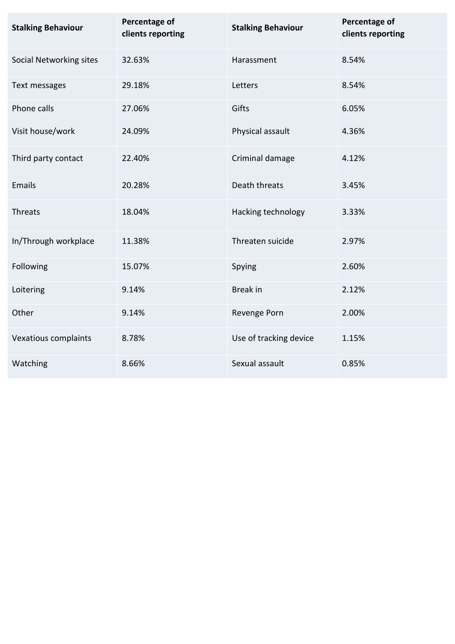| <b>Stalking Behaviour</b> | Percentage of<br>clients reporting | <b>Stalking Behaviour</b> | Percentage of<br>clients reporting |
|---------------------------|------------------------------------|---------------------------|------------------------------------|
| Social Networking sites   | 32.63%                             | Harassment                | 8.54%                              |
| Text messages             | 29.18%                             | Letters                   | 8.54%                              |
| Phone calls               | 27.06%                             | Gifts                     | 6.05%                              |
| Visit house/work          | 24.09%                             | Physical assault          | 4.36%                              |
| Third party contact       | 22.40%                             | Criminal damage           | 4.12%                              |
| Emails                    | 20.28%                             | Death threats             | 3.45%                              |
| <b>Threats</b>            | 18.04%                             | Hacking technology        | 3.33%                              |
| In/Through workplace      | 11.38%                             | Threaten suicide          | 2.97%                              |
| Following                 | 15.07%                             | Spying                    | 2.60%                              |
| Loitering                 | 9.14%                              | <b>Break</b> in           | 2.12%                              |
| Other                     | 9.14%                              | Revenge Porn              | 2.00%                              |
| Vexatious complaints      | 8.78%                              | Use of tracking device    | 1.15%                              |
| Watching                  | 8.66%                              | Sexual assault            | 0.85%                              |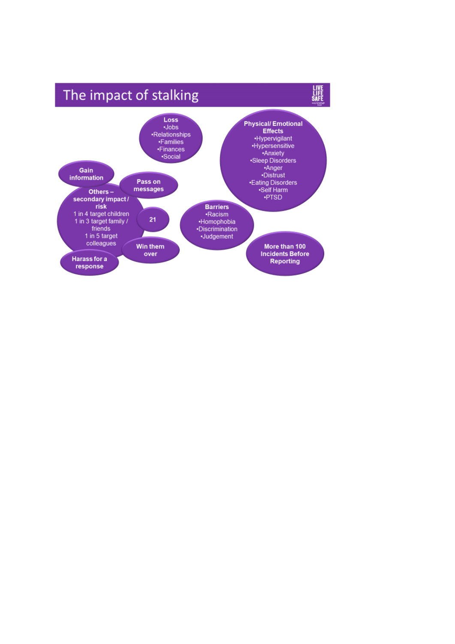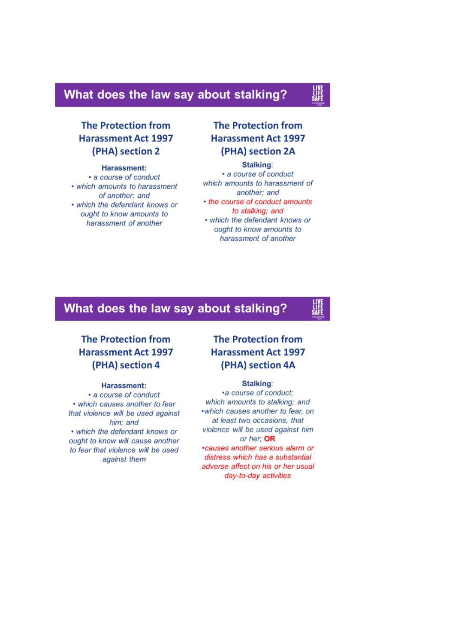# What does the law say about stalking?

**The Protection from Harassment Act 1997** (PHA) section 2

#### Harassment:

• a course of conduct • which amounts to harassment of another; and • which the defendant knows or ought to know amounts to harassment of another

# **The Protection from Harassment Act 1997** (PHA) section 2A

#### Stalking:

• a course of conduct which amounts to harassment of another: and • the course of conduct amounts to stalking; and • which the defendant knows or ought to know amounts to harassment of another

# What does the law say about stalking?

# **The Protection from Harassment Act 1997** (PHA) section 4

#### **Harassment:**

• a course of conduct • which causes another to fear that violence will be used against him; and • which the defendant knows or ought to know will cause another to fear that violence will be used against them

# **The Protection from Harassment Act 1997** (PHA) section 4A

#### Stalking:

•a course of conduct: which amounts to stalking; and • which causes another to fear, on at least two occasions, that violence will be used against him or her: OR •causes another serious alarm or distress which has a substantial adverse affect on his or her usual day-to-day activities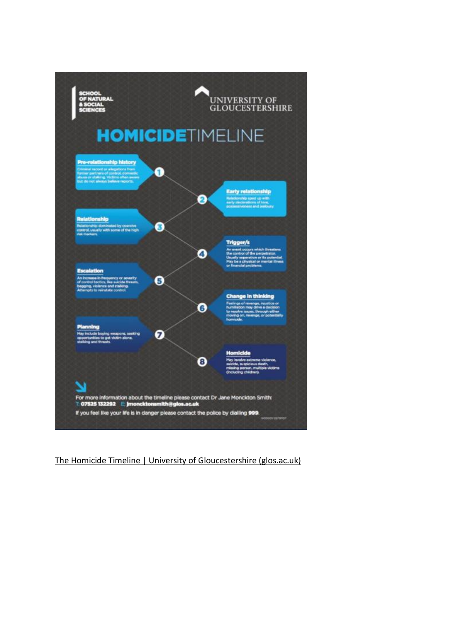

[The Homicide Timeline | University of Gloucestershire \(glos.ac.uk\)](https://www.glos.ac.uk/news/pages/the-homicide-timeline.aspx)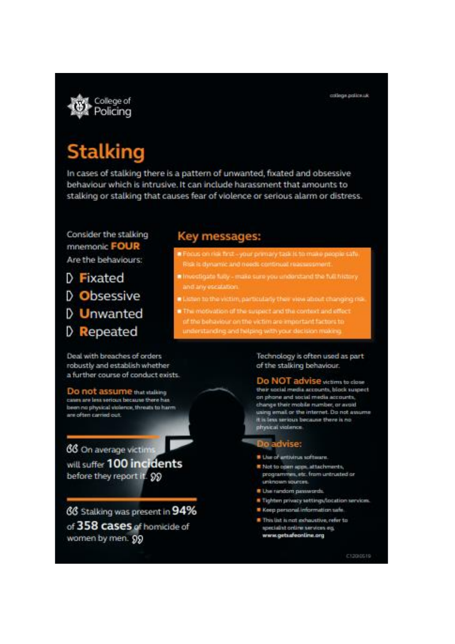

# **Stalking**

In cases of stalking there is a pattern of unwanted, fixated and obsessive behaviour which is intrusive. It can include harassment that amounts to stalking or stalking that causes fear of violence or serious alarm or distress.

Consider the stalking mnemonic FOUR Are the behaviours:

- D Fixated
- D Obsessive
- D Unwanted
- D Repeated

## Key messages:

- Focus on risk first-your primary task is to make people safe. Risk is dynamic and meets continual reassesment
- In Investigate fully make sure you understand the full history and any escalation.
- ten to the victim, particularly they view about changing risk.
- notivation of the suspect and the context and effect a behaviour on the victim are important factors to understanding and helping with your decision making

Deal with breaches of orders robustly and establish whether a further course of conduct exists.

Do not assume that stalking cases are less serious because there has been no physical violence, threats to harm are often carried out.

66 On average victim will suffer 100 incidents before they report it. 99

66 Stalking was present in 94% of 358 cases of homicide of women by men. 99

Technology is often used as part of the stalking behaviour.

Do NOT advise wearm to close their social media accounts, block suspect on phone and social media accounts, change their mobile number, or avoid using email or the internet. Do not assume It is less serious because there is no physical violence.

### Do advise:

- \* Use of artivirus software.
- K Not to open apps, attachments, programmes, etc. from untrusted or unknown sources.
- <sup>8</sup> Use random passwords.
- <sup>8</sup> Tighten privacy settings/location services.
- Keep personal information safe.
- This list is not exhaustive, refer to specialist online services eg. www.getsafeonline.org

C1200519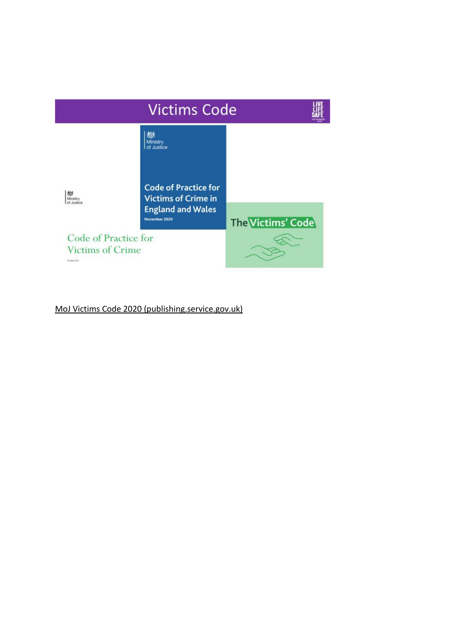

[MoJ Victims Code 2020 \(publishing.service.gov.uk\)](https://assets.publishing.service.gov.uk/government/uploads/system/uploads/attachment_data/file/936239/victims-code-2020.pdf)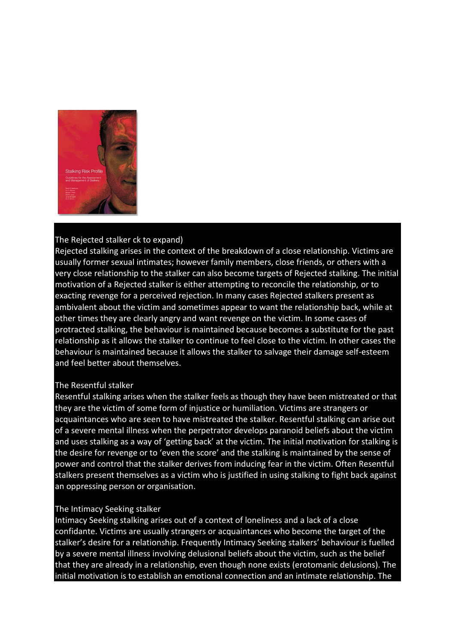

#### The Rejected stalker ck to expand)

Rejected stalking arises in the context of the breakdown of a close relationship. Victims are usually former sexual intimates; however family members, close friends, or others with a very close relationship to the stalker can also become targets of Rejected stalking. The initial motivation of a Rejected stalker is either attempting to reconcile the relationship, or to exacting revenge for a perceived rejection. In many cases Rejected stalkers present as ambivalent about the victim and sometimes appear to want the relationship back, while at other times they are clearly angry and want revenge on the victim. In some cases of protracted stalking, the behaviour is maintained because becomes a substitute for the past relationship as it allows the stalker to continue to feel close to the victim. In other cases the behaviour is maintained because it allows the stalker to salvage their damage self-esteem and feel better about themselves.

#### The Resentful stalker

Resentful stalking arises when the stalker feels as though they have been mistreated or that they are the victim of some form of injustice or humiliation. Victims are strangers or acquaintances who are seen to have mistreated the stalker. Resentful stalking can arise out of a severe mental illness when the perpetrator develops paranoid beliefs about the victim and uses stalking as a way of 'getting back' at the victim. The initial motivation for stalking is the desire for revenge or to 'even the score' and the stalking is maintained by the sense of power and control that the stalker derives from inducing fear in the victim. Often Resentful stalkers present themselves as a victim who is justified in using stalking to fight back against an oppressing person or organisation.

#### The Intimacy Seeking stalker

Intimacy Seeking stalking arises out of a context of loneliness and a lack of a close confidante. Victims are usually strangers or acquaintances who become the target of the stalker's desire for a relationship. Frequently Intimacy Seeking stalkers' behaviour is fuelled by a severe mental illness involving delusional beliefs about the victim, such as the belief that they are already in a relationship, even though none exists (erotomanic delusions). The initial motivation is to establish an emotional connection and an intimate relationship. The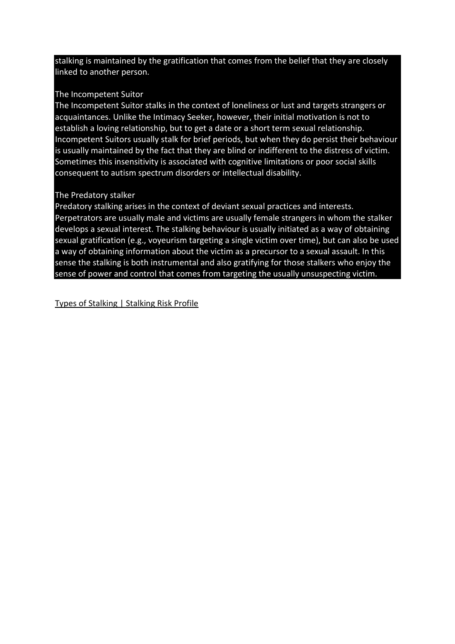stalking is maintained by the gratification that comes from the belief that they are closely linked to another person.

## The Incompetent Suitor

The Incompetent Suitor stalks in the context of loneliness or lust and targets strangers or acquaintances. Unlike the Intimacy Seeker, however, their initial motivation is not to establish a loving relationship, but to get a date or a short term sexual relationship. Incompetent Suitors usually stalk for brief periods, but when they do persist their behaviour is usually maintained by the fact that they are blind or indifferent to the distress of victim. Sometimes this insensitivity is associated with cognitive limitations or poor social skills consequent to autism spectrum disorders or intellectual disability.

## The Predatory stalker

Predatory stalking arises in the context of deviant sexual practices and interests. Perpetrators are usually male and victims are usually female strangers in whom the stalker develops a sexual interest. The stalking behaviour is usually initiated as a way of obtaining sexual gratification (e.g., voyeurism targeting a single victim over time), but can also be used a way of obtaining information about the victim as a precursor to a sexual assault. In this sense the stalking is both instrumental and also gratifying for those stalkers who enjoy the sense of power and control that comes from targeting the usually unsuspecting victim.

[Types of Stalking | Stalking Risk Profile](https://www.stalkingriskprofile.com/what-is-stalking/types-of-stalking)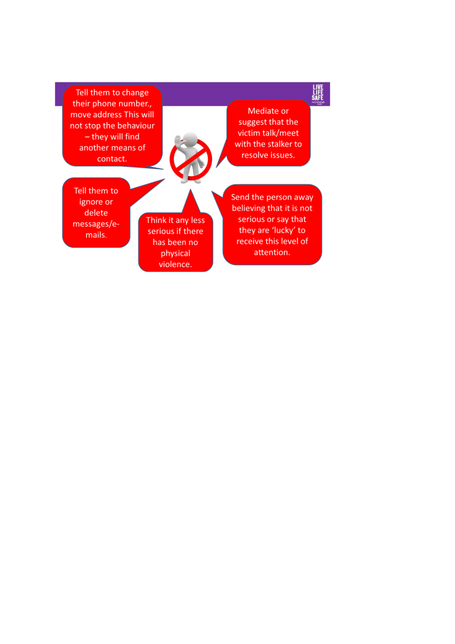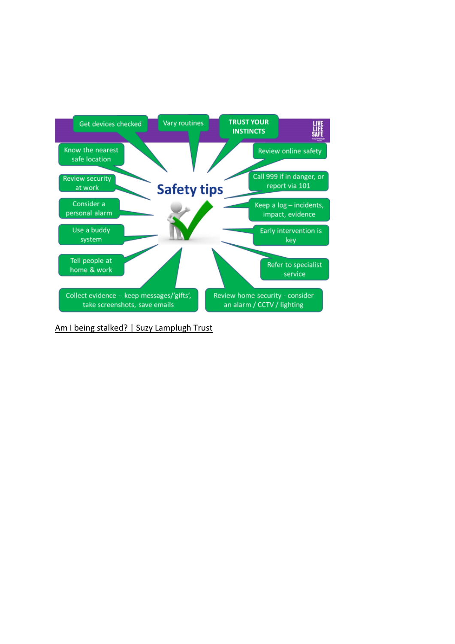

[Am I being stalked? | Suzy Lamplugh Trust](https://amibeingstalked.suzylamplugh.org/)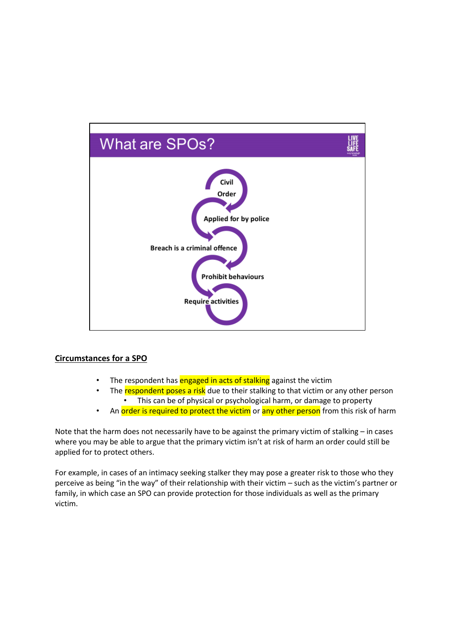

#### **Circumstances for a SPO**

- The respondent has engaged in acts of stalking against the victim
- The respondent poses a risk due to their stalking to that victim or any other person • This can be of physical or psychological harm, or damage to property
- An order is required to protect the victim or any other person from this risk of harm

Note that the harm does not necessarily have to be against the primary victim of stalking – in cases where you may be able to argue that the primary victim isn't at risk of harm an order could still be applied for to protect others.

For example, in cases of an intimacy seeking stalker they may pose a greater risk to those who they perceive as being "in the way" of their relationship with their victim – such as the victim's partner or family, in which case an SPO can provide protection for those individuals as well as the primary victim.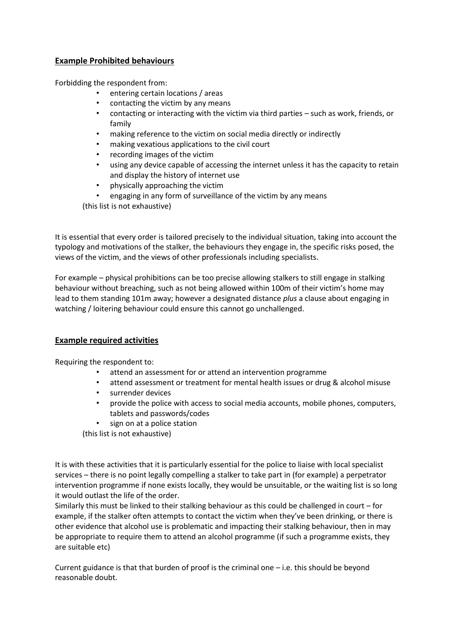#### **Example Prohibited behaviours**

Forbidding the respondent from:

- entering certain locations / areas
- contacting the victim by any means
- contacting or interacting with the victim via third parties such as work, friends, or family
- making reference to the victim on social media directly or indirectly
- making vexatious applications to the civil court
- recording images of the victim
- using any device capable of accessing the internet unless it has the capacity to retain and display the history of internet use
- physically approaching the victim
- engaging in any form of surveillance of the victim by any means

(this list is not exhaustive)

It is essential that every order is tailored precisely to the individual situation, taking into account the typology and motivations of the stalker, the behaviours they engage in, the specific risks posed, the views of the victim, and the views of other professionals including specialists.

For example – physical prohibitions can be too precise allowing stalkers to still engage in stalking behaviour without breaching, such as not being allowed within 100m of their victim's home may lead to them standing 101m away; however a designated distance *plus* a clause about engaging in watching / loitering behaviour could ensure this cannot go unchallenged.

#### **Example required activities**

Requiring the respondent to:

- attend an assessment for or attend an intervention programme
- attend assessment or treatment for mental health issues or drug & alcohol misuse
- surrender devices
- provide the police with access to social media accounts, mobile phones, computers, tablets and passwords/codes
- sign on at a police station

(this list is not exhaustive)

It is with these activities that it is particularly essential for the police to liaise with local specialist services – there is no point legally compelling a stalker to take part in (for example) a perpetrator intervention programme if none exists locally, they would be unsuitable, or the waiting list is so long it would outlast the life of the order.

Similarly this must be linked to their stalking behaviour as this could be challenged in court – for example, if the stalker often attempts to contact the victim when they've been drinking, or there is other evidence that alcohol use is problematic and impacting their stalking behaviour, then in may be appropriate to require them to attend an alcohol programme (if such a programme exists, they are suitable etc)

Current guidance is that that burden of proof is the criminal one – i.e. this should be beyond reasonable doubt.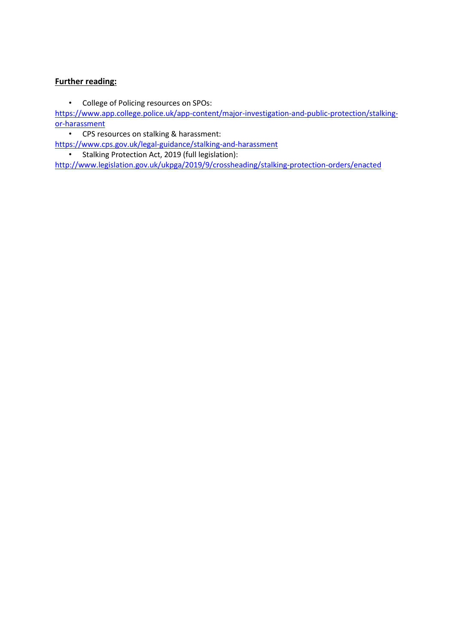### **Further reading:**

• College of Policing resources on SPOs:

[https://www.app.college.police.uk/app-content/major-investigation-and-public-protection/stalking](https://www.app.college.police.uk/app-content/major-investigation-and-public-protection/stalking-or-harassment/)[or-harassment](https://www.app.college.police.uk/app-content/major-investigation-and-public-protection/stalking-or-harassment/)

• CPS resources on stalking & harassment:

<https://www.cps.gov.uk/legal-guidance/stalking-and-harassment>

• Stalking Protection Act, 2019 (full legislation):

<http://www.legislation.gov.uk/ukpga/2019/9/crossheading/stalking-protection-orders/enacted>